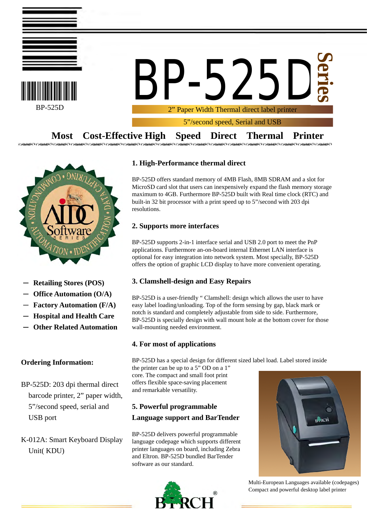



**25 Series**

2" Paper Width Thermal direct label printer

5"/second speed, Serial and USB

**Most Cost-Effective High Speed Direct Thermal Printer**



- **Retailing Stores (POS)**
- **Office Automation (O/A)**
- **Factory Automation (F/A)**
- **Hospital and Health Care**
- **Other Related Automation**

# **Ordering Information:**

- BP-525D: 203 dpi thermal direct barcode printer, 2" paper width, 5"/second speed, serial and USB port
- K-012A: Smart Keyboard Display Unit( KDU)

# **1. High-Performance thermal direct**

BP-525D offers standard memory of 4MB Flash, 8MB SDRAM and a slot for MicroSD card slot that users can inexpensively expand the flash memory storage maximum to 4GB. Furthermore BP-525D built with Real time clock (RTC) and built-in 32 bit processor with a print speed up to 5"/second with 203 dpi resolutions.

# **2. Supports more interfaces**

BP-525D supports 2-in-1 interface serial and USB 2.0 port to meet the PnP applications. Furthermore an-on-board internal Ethernet LAN interface is optional for easy integration into network system. Most specially, BP-525D offers the option of graphic LCD display to have more convenient operating.

# **3. Clamshell-design and Easy Repairs**

BP-525D is a user-friendly " Clamshell: design which allows the user to have easy label loading/unloading. Top of the form sensing by gap, black mark or notch is standard and completely adjustable from side to side. Furthermore, BP-525D is specially design with wall mount hole at the bottom cover for those wall-mounting needed environment.

# **4. For most of applications**

BP-525D has a special design for different sized label load. Label stored inside

the printer can be up to a 5" OD on a 1" core. The compact and small foot print offers flexible space-saving placement and remarkable versatility.

# **5. Powerful programmable Language support and BarTender**

BP-525D delivers powerful programmable language codepage which supports different printer languages on board, including Zebra and Eltron. BP-525D bundled BarTender software as our standard.





Multi-European Languages available (codepages) Compact and powerful desktop label printer